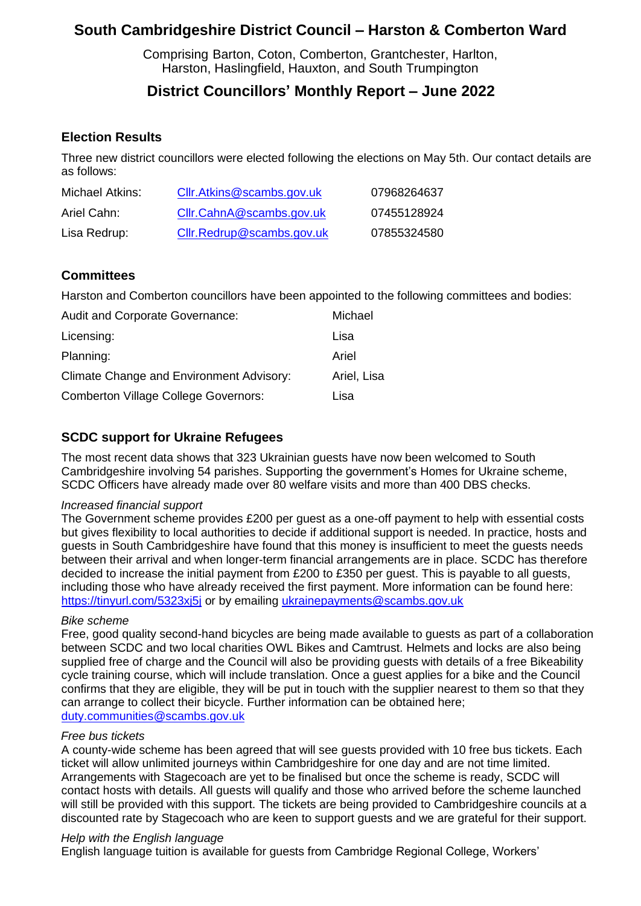# **South Cambridgeshire District Council – Harston & Comberton Ward**

Comprising Barton, Coton, Comberton, Grantchester, Harlton, Harston, Haslingfield, Hauxton, and South Trumpington

## **District Councillors' Monthly Report – June 2022**

### **Election Results**

Three new district councillors were elected following the elections on May 5th. Our contact details are as follows:

| Michael Atkins: | Cllr.Atkins@scambs.gov.uk | 07968264637 |
|-----------------|---------------------------|-------------|
| Ariel Cahn:     | Cllr.CahnA@scambs.gov.uk  | 07455128924 |
| Lisa Redrup:    | Cllr.Redrup@scambs.gov.uk | 07855324580 |

### **Committees**

Harston and Comberton councillors have been appointed to the following committees and bodies:

| <b>Audit and Corporate Governance:</b>          | Michael     |
|-------------------------------------------------|-------------|
| Licensing:                                      | Lisa        |
| Planning:                                       | Ariel       |
| <b>Climate Change and Environment Advisory:</b> | Ariel, Lisa |
| <b>Comberton Village College Governors:</b>     | Lisa        |

### **SCDC support for Ukraine Refugees**

The most recent data shows that 323 Ukrainian guests have now been welcomed to South Cambridgeshire involving 54 parishes. Supporting the government's Homes for Ukraine scheme, SCDC Officers have already made over 80 welfare visits and more than 400 DBS checks.

#### *Increased financial support*

The Government scheme provides £200 per guest as a one-off payment to help with essential costs but gives flexibility to local authorities to decide if additional support is needed. In practice, hosts and guests in South Cambridgeshire have found that this money is insufficient to meet the guests needs between their arrival and when longer-term financial arrangements are in place. SCDC has therefore decided to increase the initial payment from £200 to £350 per guest. This is payable to all guests, including those who have already received the first payment. More information can be found here: <https://tinyurl.com/5323xj5j> or by emailing [ukrainepayments@scambs.gov.uk](mailto:ukrainepayments@scambs.gov.uk)

### *Bike scheme*

Free, good quality second-hand bicycles are being made available to guests as part of a collaboration between SCDC and two local charities OWL Bikes and Camtrust. Helmets and locks are also being supplied free of charge and the Council will also be providing guests with details of a free Bikeability cycle training course, which will include translation. Once a guest applies for a bike and the Council confirms that they are eligible, they will be put in touch with the supplier nearest to them so that they can arrange to collect their bicycle. Further information can be obtained here; [duty.communities@scambs.gov.uk](mailto:duty.communities@scambs.gov.uk)

#### *Free bus tickets*

A county-wide scheme has been agreed that will see guests provided with 10 free bus tickets. Each ticket will allow unlimited journeys within Cambridgeshire for one day and are not time limited. Arrangements with Stagecoach are yet to be finalised but once the scheme is ready, SCDC will contact hosts with details. All guests will qualify and those who arrived before the scheme launched will still be provided with this support. The tickets are being provided to Cambridgeshire councils at a discounted rate by Stagecoach who are keen to support guests and we are grateful for their support.

#### *Help with the English language*

English language tuition is available for guests from Cambridge Regional College, Workers'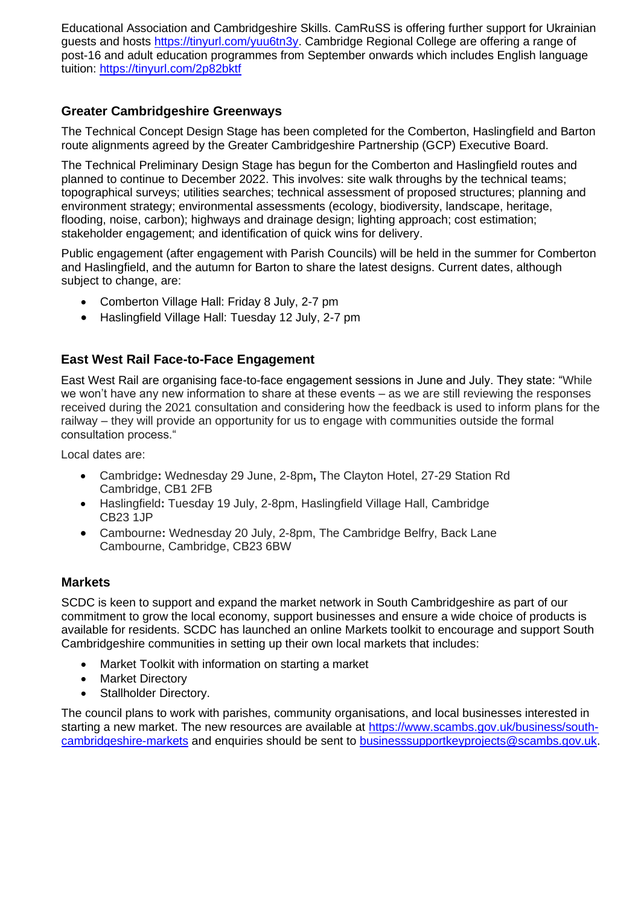Educational Association and Cambridgeshire Skills. CamRuSS is offering further support for Ukrainian guests and hosts [https://tinyurl.com/yuu6tn3y.](https://tinyurl.com/yuu6tn3y) Cambridge Regional College are offering a range of post-16 and adult education programmes from September onwards which includes English language tuition:<https://tinyurl.com/2p82bktf>

## **Greater Cambridgeshire Greenways**

The Technical Concept Design Stage has been completed for the Comberton, Haslingfield and Barton route alignments agreed by the Greater Cambridgeshire Partnership (GCP) Executive Board.

The Technical Preliminary Design Stage has begun for the Comberton and Haslingfield routes and planned to continue to December 2022. This involves: site walk throughs by the technical teams; topographical surveys; utilities searches; technical assessment of proposed structures; planning and environment strategy; environmental assessments (ecology, biodiversity, landscape, heritage, flooding, noise, carbon); highways and drainage design; lighting approach; cost estimation; stakeholder engagement; and identification of quick wins for delivery.

Public engagement (after engagement with Parish Councils) will be held in the summer for Comberton and Haslingfield, and the autumn for Barton to share the latest designs. Current dates, although subject to change, are:

- Comberton Village Hall: Friday 8 July, 2-7 pm
- Haslingfield Village Hall: Tuesday 12 July, 2-7 pm

### **East West Rail Face-to-Face Engagement**

East West Rail are organising face-to-face engagement sessions in June and July. They state: "While we won't have any new information to share at these events – as we are still reviewing the responses received during the 2021 consultation and considering how the feedback is used to inform plans for the railway – they will provide an opportunity for us to engage with communities outside the formal consultation process."

Local dates are:

- Cambridge**:** Wednesday 29 June, 2-8pm**,** The Clayton Hotel, 27-29 Station Rd Cambridge, CB1 2FB
- Haslingfield**:** Tuesday 19 July, 2-8pm, Haslingfield Village Hall, Cambridge CB23 1JP
- Cambourne**:** Wednesday 20 July, 2-8pm, The Cambridge Belfry, Back Lane Cambourne, Cambridge, CB23 6BW

### **Markets**

SCDC is keen to support and expand the market network in South Cambridgeshire as part of our commitment to grow the local economy, support businesses and ensure a wide choice of products is available for residents. SCDC has launched an online Markets toolkit to encourage and support South Cambridgeshire communities in setting up their own local markets that includes:

- Market Toolkit with information on starting a market
- Market Directory
- Stallholder Directory.

The council plans to work with parishes, community organisations, and local businesses interested in starting a new market. The new resources are available at [https://www.scambs.gov.uk/business/south](https://www.scambs.gov.uk/business/south-cambridgeshire-markets)[cambridgeshire-markets](https://www.scambs.gov.uk/business/south-cambridgeshire-markets) and enquiries should be sent to [businesssupportkeyprojects@scambs.gov.uk.](mailto:businesssupportkeyprojects@scambs.gov.uk)